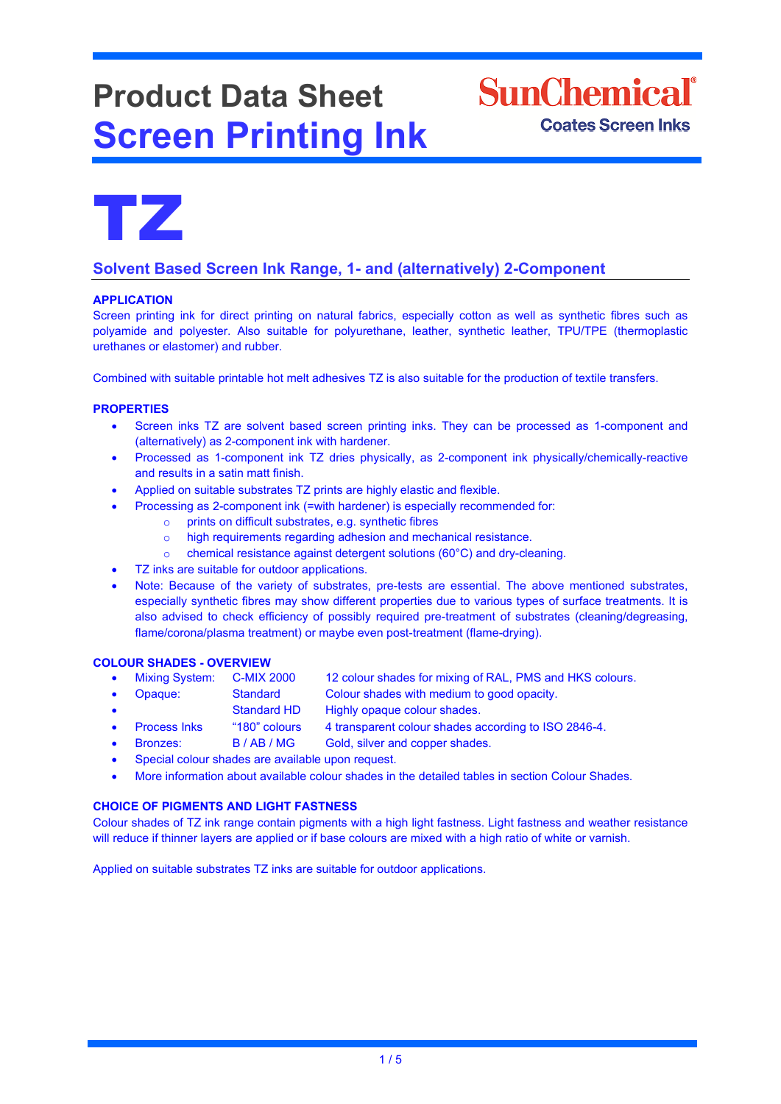# **Product Data Sheet Screen Printing Ink**





# **Solvent Based Screen Ink Range, 1- and (alternatively) 2-Component**

# **APPLICATION**

Screen printing ink for direct printing on natural fabrics, especially cotton as well as synthetic fibres such as polyamide and polyester. Also suitable for polyurethane, leather, synthetic leather, TPU/TPE (thermoplastic urethanes or elastomer) and rubber.

Combined with suitable printable hot melt adhesives TZ is also suitable for the production of textile transfers.

# **PROPERTIES**

- Screen inks TZ are solvent based screen printing inks. They can be processed as 1-component and (alternatively) as 2-component ink with hardener.
- Processed as 1-component ink TZ dries physically, as 2-component ink physically/chemically-reactive and results in a satin matt finish.
- Applied on suitable substrates TZ prints are highly elastic and flexible.
	- Processing as 2-component ink (=with hardener) is especially recommended for:
		- o prints on difficult substrates, e.g. synthetic fibres
		- o high requirements regarding adhesion and mechanical resistance.
		- o chemical resistance against detergent solutions (60°C) and dry-cleaning.
- TZ inks are suitable for outdoor applications.
- Note: Because of the variety of substrates, pre-tests are essential. The above mentioned substrates, especially synthetic fibres may show different properties due to various types of surface treatments. It is also advised to check efficiency of possibly required pre-treatment of substrates (cleaning/degreasing, flame/corona/plasma treatment) or maybe even post-treatment (flame-drying).

# **COLOUR SHADES - OVERVIEW**

- Mixing System: C-MIX 2000 12 colour shades for mixing of RAL, PMS and HKS colours.
- Opaque: Standard Colour shades with medium to good opacity.
- Standard HD Highly opaque colour shades.
- Process Inks "180" colours 4 transparent colour shades according to ISO 2846-4.
- Bronzes: B / AB / MG Gold, silver and copper shades.
- Special colour shades are available upon request.
- More information about available colour shades in the detailed tables in section Colour Shades.

# **CHOICE OF PIGMENTS AND LIGHT FASTNESS**

Colour shades of TZ ink range contain pigments with a high light fastness. Light fastness and weather resistance will reduce if thinner layers are applied or if base colours are mixed with a high ratio of white or varnish.

Applied on suitable substrates TZ inks are suitable for outdoor applications.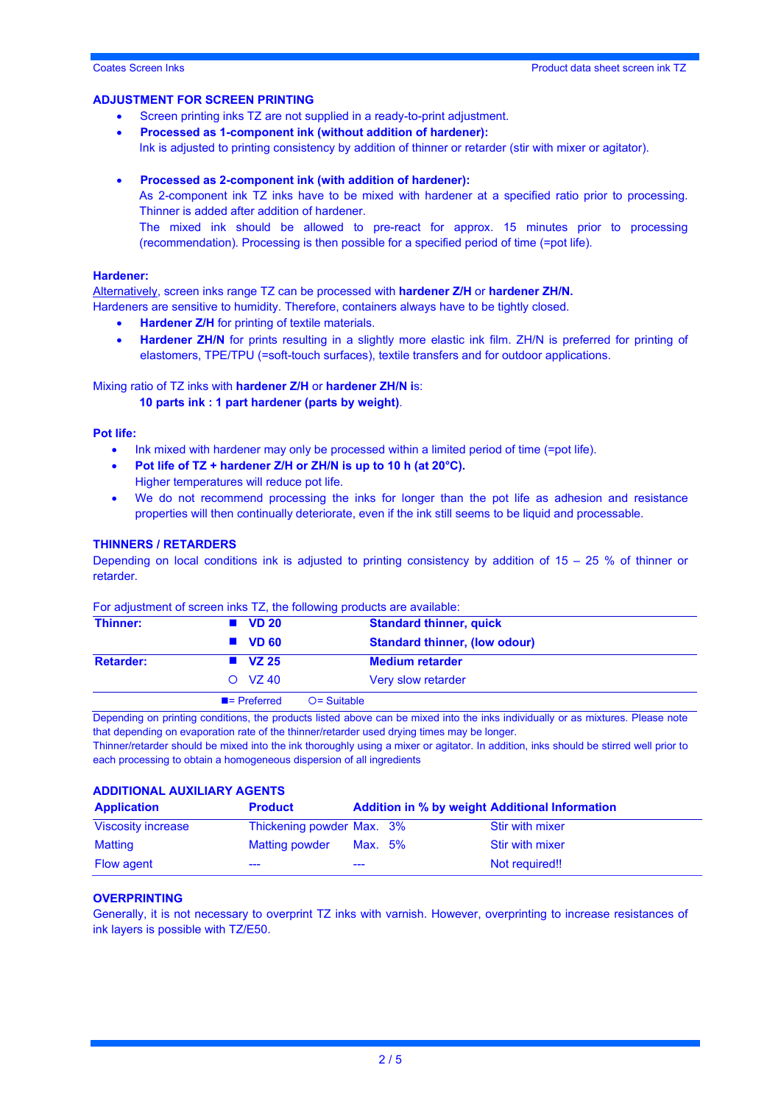#### **ADJUSTMENT FOR SCREEN PRINTING**

- Screen printing inks TZ are not supplied in a ready-to-print adjustment.
- **Processed as 1-component ink (without addition of hardener):** Ink is adjusted to printing consistency by addition of thinner or retarder (stir with mixer or agitator).
- **Processed as 2-component ink (with addition of hardener):**

As 2-component ink TZ inks have to be mixed with hardener at a specified ratio prior to processing. Thinner is added after addition of hardener.

The mixed ink should be allowed to pre-react for approx. 15 minutes prior to processing (recommendation). Processing is then possible for a specified period of time (=pot life).

#### **Hardener:**

Alternatively, screen inks range TZ can be processed with **hardener Z/H** or **hardener ZH/N.**  Hardeners are sensitive to humidity. Therefore, containers always have to be tightly closed.

- **Hardener Z/H** for printing of textile materials.
- **Hardener ZH/N** for prints resulting in a slightly more elastic ink film. ZH/N is preferred for printing of elastomers, TPE/TPU (=soft-touch surfaces), textile transfers and for outdoor applications.

#### Mixing ratio of TZ inks with **hardener Z/H** or **hardener ZH/N i**s:

#### **10 parts ink : 1 part hardener (parts by weight)**.

### **Pot life:**

- Ink mixed with hardener may only be processed within a limited period of time (=pot life).
- **Pot life of TZ + hardener Z/H or ZH/N is up to 10 h (at 20°C).** Higher temperatures will reduce pot life.
- We do not recommend processing the inks for longer than the pot life as adhesion and resistance properties will then continually deteriorate, even if the ink still seems to be liquid and processable.

#### **THINNERS / RETARDERS**

Depending on local conditions ink is adjusted to printing consistency by addition of  $15 - 25$  % of thinner or retarder.

| Thinner:         | $\blacksquare$ VD 20     | <b>Standard thinner, quick</b>       |
|------------------|--------------------------|--------------------------------------|
|                  | $\blacksquare$ VD 60     | <b>Standard thinner, (low odour)</b> |
| <b>Retarder:</b> | $\blacksquare$ VZ 25     | <b>Medium retarder</b>               |
|                  | $O$ VZ 40                | Very slow retarder                   |
|                  | $\blacksquare$ Preferred | $O =$ Suitable                       |

# For adjustment of screen inks TZ, the following products are available:

Depending on printing conditions, the products listed above can be mixed into the inks individually or as mixtures. Please note that depending on evaporation rate of the thinner/retarder used drying times may be longer.

Thinner/retarder should be mixed into the ink thoroughly using a mixer or agitator. In addition, inks should be stirred well prior to each processing to obtain a homogeneous dispersion of all ingredients

#### **ADDITIONAL AUXILIARY AGENTS**

| <b>Application</b> | <b>Product</b>            |         | <b>Addition in % by weight Additional Information</b> |
|--------------------|---------------------------|---------|-------------------------------------------------------|
| Viscosity increase | Thickening powder Max. 3% |         | Stir with mixer                                       |
| Matting            | Matting powder            | Max. 5% | Stir with mixer                                       |
| <b>Flow agent</b>  | ---                       | $---$   | Not required!!                                        |

# **OVERPRINTING**

Generally, it is not necessary to overprint TZ inks with varnish. However, overprinting to increase resistances of ink layers is possible with TZ/E50.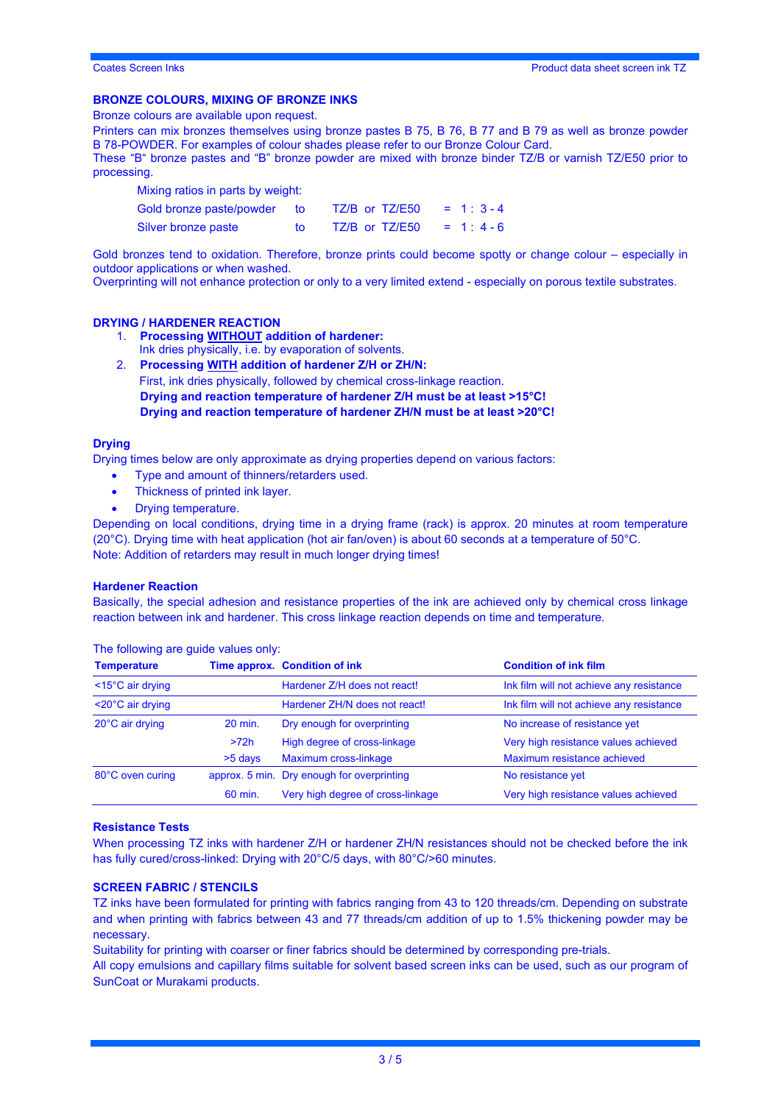# **BRONZE COLOURS, MIXING OF BRONZE INKS**

Bronze colours are available upon request.

Printers can mix bronzes themselves using bronze pastes B 75, B 76, B 77 and B 79 as well as bronze powder B 78-POWDER. For examples of colour shades please refer to our Bronze Colour Card.

These "B" bronze pastes and "B" bronze powder are mixed with bronze binder TZ/B or varnish TZ/E50 prior to processing.

Mixing ratios in parts by weight:

| Gold bronze paste/powder | to: | TZ/B or TZ/E50 | $= 1:3-4$  |
|--------------------------|-----|----------------|------------|
| Silver bronze paste      |     | TZ/B or TZ/E50 | $= 1: 4-6$ |

Gold bronzes tend to oxidation. Therefore, bronze prints could become spotty or change colour – especially in outdoor applications or when washed.

Overprinting will not enhance protection or only to a very limited extend - especially on porous textile substrates.

#### **DRYING / HARDENER REACTION**

- 1. **Processing WITHOUT addition of hardener:** Ink dries physically, i.e. by evaporation of solvents.
- 2. **Processing WITH addition of hardener Z/H or ZH/N:** First, ink dries physically, followed by chemical cross-linkage reaction. **Drying and reaction temperature of hardener Z/H must be at least >15°C! Drying and reaction temperature of hardener ZH/N must be at least >20°C!**

#### **Drying**

Drying times below are only approximate as drying properties depend on various factors:

- Type and amount of thinners/retarders used.
- Thickness of printed ink layer.
- Drying temperature.

Depending on local conditions, drying time in a drying frame (rack) is approx. 20 minutes at room temperature (20°C). Drying time with heat application (hot air fan/oven) is about 60 seconds at a temperature of 50°C. Note: Addition of retarders may result in much longer drying times!

#### **Hardener Reaction**

Basically, the special adhesion and resistance properties of the ink are achieved only by chemical cross linkage reaction between ink and hardener. This cross linkage reaction depends on time and temperature.

| <b>Temperature</b>             |         | Time approx. Condition of ink                                | <b>Condition of ink film</b>             |
|--------------------------------|---------|--------------------------------------------------------------|------------------------------------------|
| $<$ 15 $^{\circ}$ C air drying |         | Hardener Z/H does not react!                                 | Ink film will not achieve any resistance |
| $<$ 20 $^{\circ}$ C air drying |         | Hardener ZH/N does not react!                                | Ink film will not achieve any resistance |
| 20°C air drying                | 20 min. | No increase of resistance yet<br>Dry enough for overprinting |                                          |
|                                | >72h    | High degree of cross-linkage                                 | Very high resistance values achieved     |
|                                | >5 days | Maximum cross-linkage                                        | Maximum resistance achieved              |
| 80°C oven curing               |         | approx. 5 min. Dry enough for overprinting                   | No resistance yet                        |
|                                | 60 min. | Very high degree of cross-linkage                            | Very high resistance values achieved     |

The following are guide values only:

#### **Resistance Tests**

When processing TZ inks with hardener Z/H or hardener ZH/N resistances should not be checked before the ink has fully cured/cross-linked: Drying with 20°C/5 days, with 80°C/>60 minutes.

### **SCREEN FABRIC / STENCILS**

TZ inks have been formulated for printing with fabrics ranging from 43 to 120 threads/cm. Depending on substrate and when printing with fabrics between 43 and 77 threads/cm addition of up to 1.5% thickening powder may be necessary.

Suitability for printing with coarser or finer fabrics should be determined by corresponding pre-trials.

All copy emulsions and capillary films suitable for solvent based screen inks can be used, such as our program of SunCoat or Murakami products.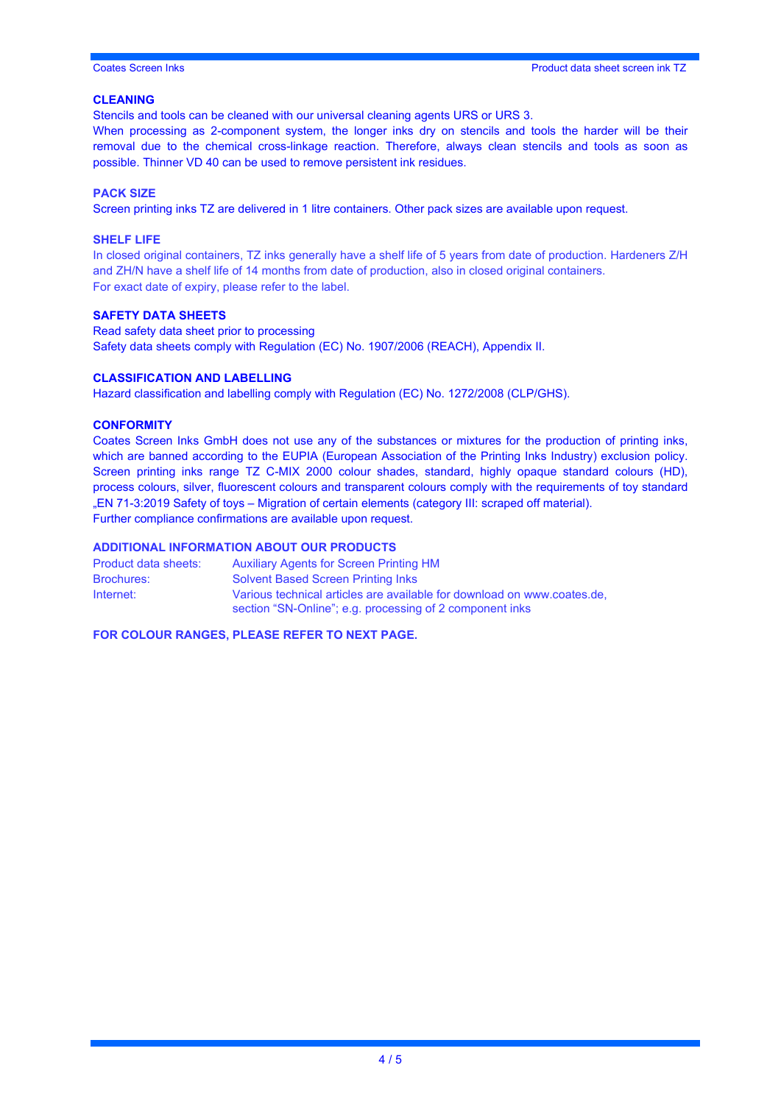# **CLEANING**

Stencils and tools can be cleaned with our universal cleaning agents URS or URS 3.

When processing as 2-component system, the longer inks dry on stencils and tools the harder will be their removal due to the chemical cross-linkage reaction. Therefore, always clean stencils and tools as soon as possible. Thinner VD 40 can be used to remove persistent ink residues.

# **PACK SIZE**

Screen printing inks TZ are delivered in 1 litre containers. Other pack sizes are available upon request.

### **SHELF LIFE**

In closed original containers, TZ inks generally have a shelf life of 5 years from date of production. Hardeners Z/H and ZH/N have a shelf life of 14 months from date of production, also in closed original containers. For exact date of expiry, please refer to the label.

# **SAFETY DATA SHEETS**

Read safety data sheet prior to processing Safety data sheets comply with Regulation (EC) No. 1907/2006 (REACH), Appendix II.

### **CLASSIFICATION AND LABELLING**

Hazard classification and labelling comply with Regulation (EC) No. 1272/2008 (CLP/GHS).

# **CONFORMITY**

Coates Screen Inks GmbH does not use any of the substances or mixtures for the production of printing inks, which are banned according to the EUPIA (European Association of the Printing Inks Industry) exclusion policy. Screen printing inks range TZ C-MIX 2000 colour shades, standard, highly opaque standard colours (HD), process colours, silver, fluorescent colours and transparent colours comply with the requirements of toy standard "EN 71-3:2019 Safety of toys – Migration of certain elements (category III: scraped off material). Further compliance confirmations are available upon request.

# **ADDITIONAL INFORMATION ABOUT OUR PRODUCTS**

| Product data sheets: | <b>Auxiliary Agents for Screen Printing HM</b>                                                                                      |
|----------------------|-------------------------------------------------------------------------------------------------------------------------------------|
| <b>Brochures:</b>    | <b>Solvent Based Screen Printing Inks</b>                                                                                           |
| Internet:            | Various technical articles are available for download on www.coates.de.<br>section "SN-Online"; e.g. processing of 2 component inks |

**FOR COLOUR RANGES, PLEASE REFER TO NEXT PAGE.**